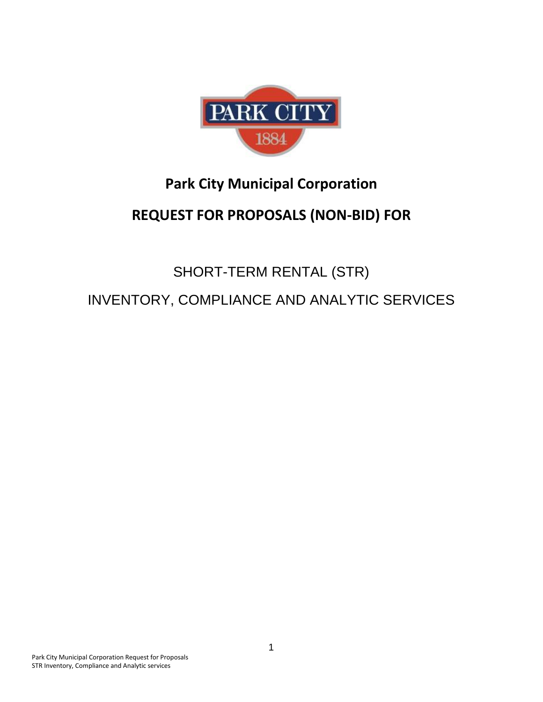

# **Park City Municipal Corporation**

# **REQUEST FOR PROPOSALS (NON-BID) FOR**

# SHORT-TERM RENTAL (STR) INVENTORY, COMPLIANCE AND ANALYTIC SERVICES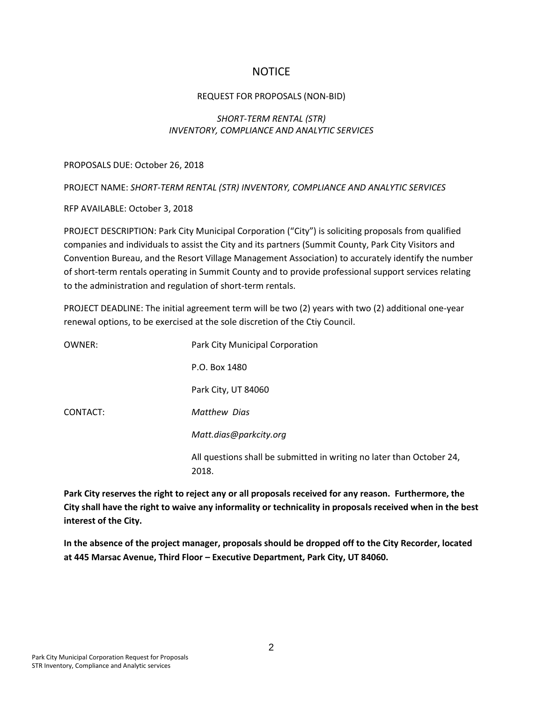# **NOTICE**

#### REQUEST FOR PROPOSALS (NON-BID)

#### *SHORT-TERM RENTAL (STR) INVENTORY, COMPLIANCE AND ANALYTIC SERVICES*

PROPOSALS DUE: October 26, 2018

PROJECT NAME: *SHORT-TERM RENTAL (STR) INVENTORY, COMPLIANCE AND ANALYTIC SERVICES*

RFP AVAILABLE: October 3, 2018

PROJECT DESCRIPTION: Park City Municipal Corporation ("City") is soliciting proposals from qualified companies and individuals to assist the City and its partners (Summit County, Park City Visitors and Convention Bureau, and the Resort Village Management Association) to accurately identify the number of short-term rentals operating in Summit County and to provide professional support services relating to the administration and regulation of short-term rentals.

PROJECT DEADLINE: The initial agreement term will be two (2) years with two (2) additional one-year renewal options, to be exercised at the sole discretion of the Ctiy Council.

| OWNER:   | Park City Municipal Corporation                                                |
|----------|--------------------------------------------------------------------------------|
|          | P.O. Box 1480                                                                  |
|          | Park City, UT 84060                                                            |
| CONTACT: | Matthew Dias                                                                   |
|          | Matt.dias@parkcity.org                                                         |
|          | All questions shall be submitted in writing no later than October 24,<br>2018. |

**Park City reserves the right to reject any or all proposals received for any reason. Furthermore, the City shall have the right to waive any informality or technicality in proposals received when in the best interest of the City.** 

**In the absence of the project manager, proposals should be dropped off to the City Recorder, located at 445 Marsac Avenue, Third Floor – Executive Department, Park City, UT 84060.**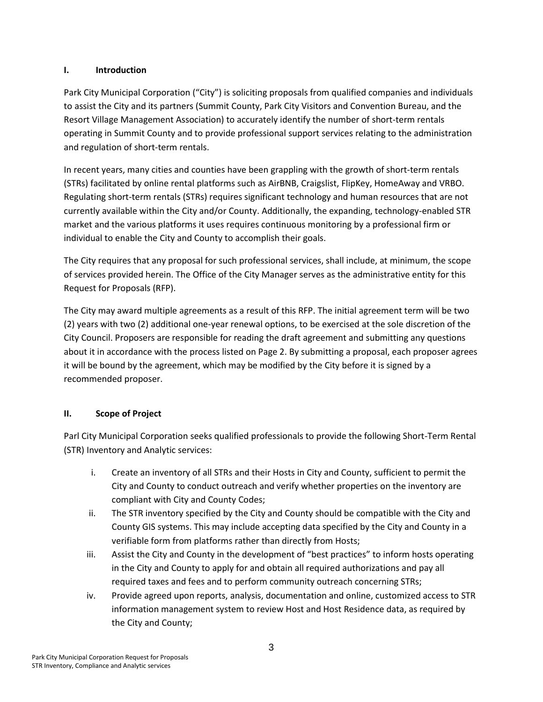# **I. Introduction**

Park City Municipal Corporation ("City") is soliciting proposals from qualified companies and individuals to assist the City and its partners (Summit County, Park City Visitors and Convention Bureau, and the Resort Village Management Association) to accurately identify the number of short-term rentals operating in Summit County and to provide professional support services relating to the administration and regulation of short-term rentals.

In recent years, many cities and counties have been grappling with the growth of short-term rentals (STRs) facilitated by online rental platforms such as AirBNB, Craigslist, FlipKey, HomeAway and VRBO. Regulating short-term rentals (STRs) requires significant technology and human resources that are not currently available within the City and/or County. Additionally, the expanding, technology-enabled STR market and the various platforms it uses requires continuous monitoring by a professional firm or individual to enable the City and County to accomplish their goals.

The City requires that any proposal for such professional services, shall include, at minimum, the scope of services provided herein. The Office of the City Manager serves as the administrative entity for this Request for Proposals (RFP).

The City may award multiple agreements as a result of this RFP. The initial agreement term will be two (2) years with two (2) additional one-year renewal options, to be exercised at the sole discretion of the City Council. Proposers are responsible for reading the draft agreement and submitting any questions about it in accordance with the process listed on Page 2. By submitting a proposal, each proposer agrees it will be bound by the agreement, which may be modified by the City before it is signed by a recommended proposer.

# **II. Scope of Project**

Parl City Municipal Corporation seeks qualified professionals to provide the following Short-Term Rental (STR) Inventory and Analytic services:

- i. Create an inventory of all STRs and their Hosts in City and County, sufficient to permit the City and County to conduct outreach and verify whether properties on the inventory are compliant with City and County Codes;
- ii. The STR inventory specified by the City and County should be compatible with the City and County GIS systems. This may include accepting data specified by the City and County in a verifiable form from platforms rather than directly from Hosts;
- iii. Assist the City and County in the development of "best practices" to inform hosts operating in the City and County to apply for and obtain all required authorizations and pay all required taxes and fees and to perform community outreach concerning STRs;
- iv. Provide agreed upon reports, analysis, documentation and online, customized access to STR information management system to review Host and Host Residence data, as required by the City and County;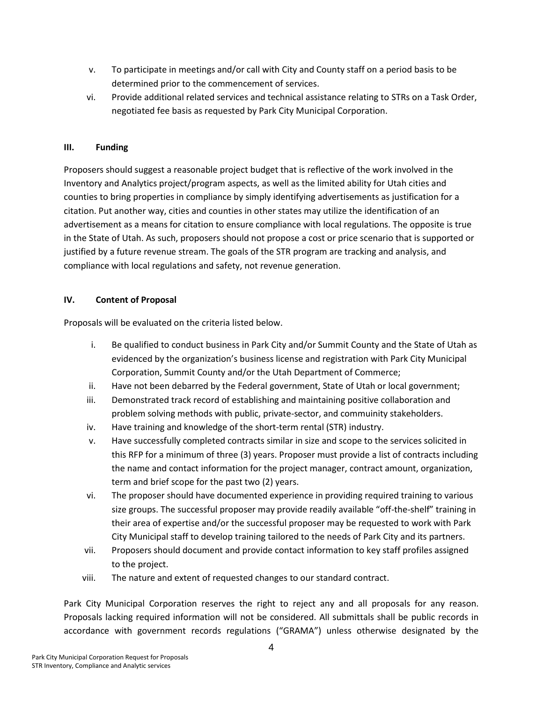- v. To participate in meetings and/or call with City and County staff on a period basis to be determined prior to the commencement of services.
- vi. Provide additional related services and technical assistance relating to STRs on a Task Order, negotiated fee basis as requested by Park City Municipal Corporation.

# **III. Funding**

Proposers should suggest a reasonable project budget that is reflective of the work involved in the Inventory and Analytics project/program aspects, as well as the limited ability for Utah cities and counties to bring properties in compliance by simply identifying advertisements as justification for a citation. Put another way, cities and counties in other states may utilize the identification of an advertisement as a means for citation to ensure compliance with local regulations. The opposite is true in the State of Utah. As such, proposers should not propose a cost or price scenario that is supported or justified by a future revenue stream. The goals of the STR program are tracking and analysis, and compliance with local regulations and safety, not revenue generation.

# **IV. Content of Proposal**

Proposals will be evaluated on the criteria listed below.

- i. Be qualified to conduct business in Park City and/or Summit County and the State of Utah as evidenced by the organization's business license and registration with Park City Municipal Corporation, Summit County and/or the Utah Department of Commerce;
- ii. Have not been debarred by the Federal government, State of Utah or local government;
- iii. Demonstrated track record of establishing and maintaining positive collaboration and problem solving methods with public, private-sector, and commuinity stakeholders.
- iv. Have training and knowledge of the short-term rental (STR) industry.
- v. Have successfully completed contracts similar in size and scope to the services solicited in this RFP for a minimum of three (3) years. Proposer must provide a list of contracts including the name and contact information for the project manager, contract amount, organization, term and brief scope for the past two (2) years.
- vi. The proposer should have documented experience in providing required training to various size groups. The successful proposer may provide readily available "off-the-shelf" training in their area of expertise and/or the successful proposer may be requested to work with Park City Municipal staff to develop training tailored to the needs of Park City and its partners.
- vii. Proposers should document and provide contact information to key staff profiles assigned to the project.
- viii. The nature and extent of requested changes to our standard contract.

Park City Municipal Corporation reserves the right to reject any and all proposals for any reason. Proposals lacking required information will not be considered. All submittals shall be public records in accordance with government records regulations ("GRAMA") unless otherwise designated by the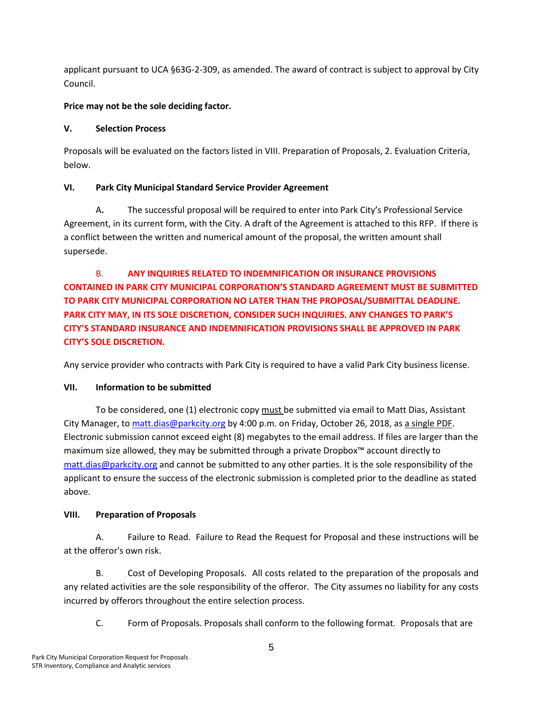applicant pursuant to UCA §63G-2-309, as amended. The award of contract is subject to approval by City Council.

# **Price may not be the sole deciding factor.**

# **V. Selection Process**

Proposals will be evaluated on the factors listed in VIII. Preparation of Proposals, 2. Evaluation Criteria, below.

# **VI. Park City Municipal Standard Service Provider Agreement**

A**.** The successful proposal will be required to enter into Park City's Professional Service Agreement, in its current form, with the City. A draft of the Agreement is attached to this RFP. If there is a conflict between the written and numerical amount of the proposal, the written amount shall supersede.

# B. **ANY INQUIRIES RELATED TO INDEMNIFICATION OR INSURANCE PROVISIONS CONTAINED IN PARK CITY MUNICIPAL CORPORATION'S STANDARD AGREEMENT MUST BE SUBMITTED TO PARK CITY MUNICIPAL CORPORATION NO LATER THAN THE PROPOSAL/SUBMITTAL DEADLINE. PARK CITY MAY, IN ITS SOLE DISCRETION, CONSIDER SUCH INQUIRIES. ANY CHANGES TO PARK'S CITY'S STANDARD INSURANCE AND INDEMNIFICATION PROVISIONS SHALL BE APPROVED IN PARK CITY'S SOLE DISCRETION.**

Any service provider who contracts with Park City is required to have a valid Park City business license.

# **VII. Information to be submitted**

To be considered, one (1) electronic copy must be submitted via email to Matt Dias, Assistant City Manager, to [matt.dias@parkcity.org](mailto:matt.dias@parkcity.org) by 4:00 p.m. on Friday, October 26, 2018, as a single PDF. Electronic submission cannot exceed eight (8) megabytes to the email address. If files are larger than the maximum size allowed, they may be submitted through a private Dropbox™ account directly to [matt.dias@parkcity.org](mailto:matt.dias@parkcity.org) and cannot be submitted to any other parties. It is the sole responsibility of the applicant to ensure the success of the electronic submission is completed prior to the deadline as stated above.

# **VIII. Preparation of Proposals**

A. Failure to Read. Failure to Read the Request for Proposal and these instructions will be at the offeror's own risk.

B. Cost of Developing Proposals. All costs related to the preparation of the proposals and any related activities are the sole responsibility of the offeror. The City assumes no liability for any costs incurred by offerors throughout the entire selection process.

C. Form of Proposals. Proposals shall conform to the following format. Proposals that are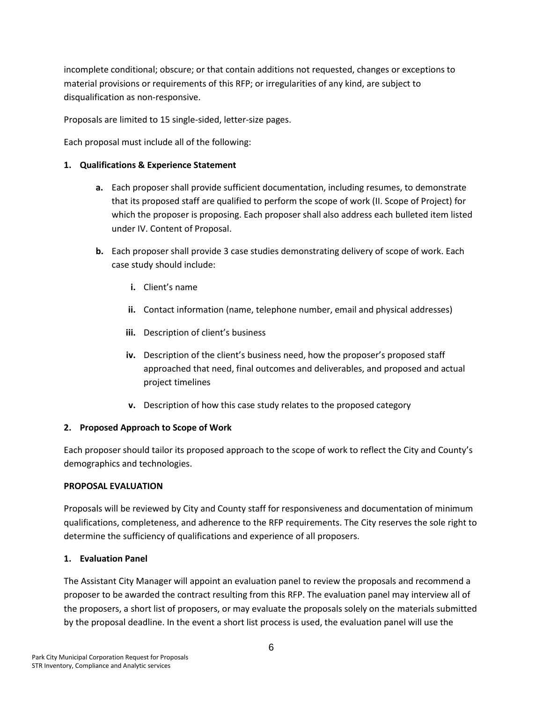incomplete conditional; obscure; or that contain additions not requested, changes or exceptions to material provisions or requirements of this RFP; or irregularities of any kind, are subject to disqualification as non-responsive.

Proposals are limited to 15 single-sided, letter-size pages.

Each proposal must include all of the following:

# **1. Qualifications & Experience Statement**

- **a.** Each proposer shall provide sufficient documentation, including resumes, to demonstrate that its proposed staff are qualified to perform the scope of work (II. Scope of Project) for which the proposer is proposing. Each proposer shall also address each bulleted item listed under IV. Content of Proposal.
- **b.** Each proposer shall provide 3 case studies demonstrating delivery of scope of work. Each case study should include:
	- **i.** Client's name
	- **ii.** Contact information (name, telephone number, email and physical addresses)
	- **iii.** Description of client's business
	- **iv.** Description of the client's business need, how the proposer's proposed staff approached that need, final outcomes and deliverables, and proposed and actual project timelines
	- **v.** Description of how this case study relates to the proposed category

# **2. Proposed Approach to Scope of Work**

Each proposer should tailor its proposed approach to the scope of work to reflect the City and County's demographics and technologies.

# **PROPOSAL EVALUATION**

Proposals will be reviewed by City and County staff for responsiveness and documentation of minimum qualifications, completeness, and adherence to the RFP requirements. The City reserves the sole right to determine the sufficiency of qualifications and experience of all proposers.

# **1. Evaluation Panel**

The Assistant City Manager will appoint an evaluation panel to review the proposals and recommend a proposer to be awarded the contract resulting from this RFP. The evaluation panel may interview all of the proposers, a short list of proposers, or may evaluate the proposals solely on the materials submitted by the proposal deadline. In the event a short list process is used, the evaluation panel will use the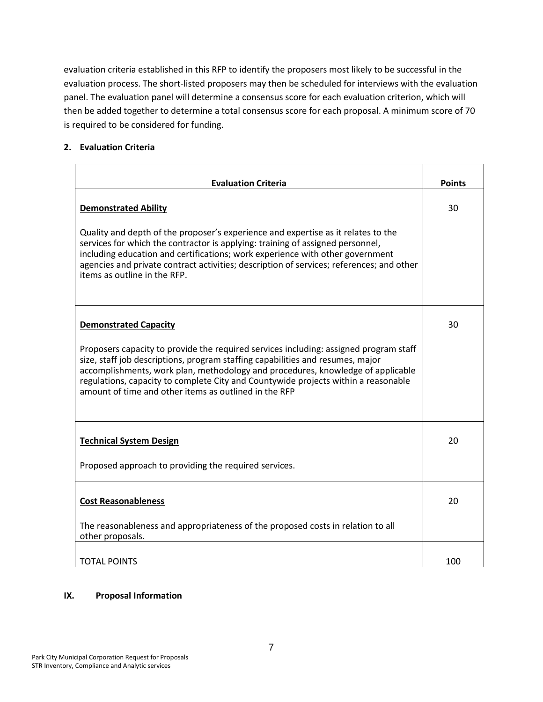evaluation criteria established in this RFP to identify the proposers most likely to be successful in the evaluation process. The short-listed proposers may then be scheduled for interviews with the evaluation panel. The evaluation panel will determine a consensus score for each evaluation criterion, which will then be added together to determine a total consensus score for each proposal. A minimum score of 70 is required to be considered for funding.

# **2. Evaluation Criteria**

| <b>Evaluation Criteria</b>                                                                                                                                                                                                                                                                                                                                                                                |     |
|-----------------------------------------------------------------------------------------------------------------------------------------------------------------------------------------------------------------------------------------------------------------------------------------------------------------------------------------------------------------------------------------------------------|-----|
| <b>Demonstrated Ability</b>                                                                                                                                                                                                                                                                                                                                                                               | 30  |
| Quality and depth of the proposer's experience and expertise as it relates to the<br>services for which the contractor is applying: training of assigned personnel,<br>including education and certifications; work experience with other government<br>agencies and private contract activities; description of services; references; and other<br>items as outline in the RFP.                          |     |
| <b>Demonstrated Capacity</b>                                                                                                                                                                                                                                                                                                                                                                              |     |
| Proposers capacity to provide the required services including: assigned program staff<br>size, staff job descriptions, program staffing capabilities and resumes, major<br>accomplishments, work plan, methodology and procedures, knowledge of applicable<br>regulations, capacity to complete City and Countywide projects within a reasonable<br>amount of time and other items as outlined in the RFP |     |
| <b>Technical System Design</b>                                                                                                                                                                                                                                                                                                                                                                            | 20  |
| Proposed approach to providing the required services.                                                                                                                                                                                                                                                                                                                                                     |     |
| <b>Cost Reasonableness</b>                                                                                                                                                                                                                                                                                                                                                                                | 20  |
| The reasonableness and appropriateness of the proposed costs in relation to all<br>other proposals.                                                                                                                                                                                                                                                                                                       |     |
| <b>TOTAL POINTS</b>                                                                                                                                                                                                                                                                                                                                                                                       | 100 |

#### **IX. Proposal Information**